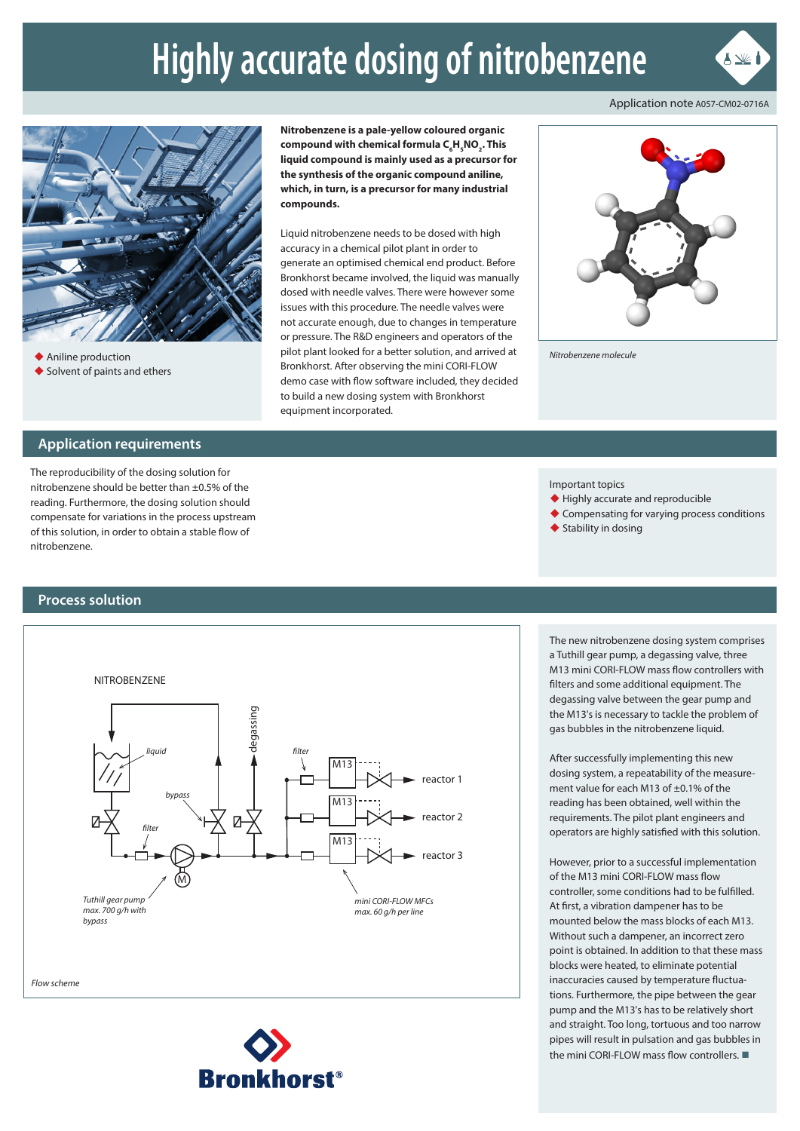# **Highly accurate dosing of nitrobenzene**

Application note A057-CM02-0716A

 $\blacktriangle \mathbb{X}$ 



◆ Aniline production ◆ Solvent of paints and ethers **Nitrobenzene is a pale-yellow coloured organic**   $\mathsf{compound}\ \textsf{with}\ \mathsf{chemical}\ \mathsf{formula}\ \mathsf{C}_{_{\mathsf{g}}}\mathsf{H}_{_{\mathsf{S}}}\mathsf{NO}_{_{\mathsf{2}}}\mathsf{.}$  This **liquid compound is mainly used as a precursor for the synthesis of the organic compound aniline, which, in turn, is a precursor for many industrial compounds.**

Liquid nitrobenzene needs to be dosed with high accuracy in a chemical pilot plant in order to generate an optimised chemical end product. Before Bronkhorst became involved, the liquid was manually dosed with needle valves. There were however some issues with this procedure. The needle valves were not accurate enough, due to changes in temperature or pressure. The R&D engineers and operators of the pilot plant looked for a better solution, and arrived at Bronkhorst. After observing the mini CORI-FLOW demo case with flow software included, they decided to build a new dosing system with Bronkhorst equipment incorporated.



*Nitrobenzene molecule*

#### **Application requirements**

The reproducibility of the dosing solution for nitrobenzene should be better than ±0.5% of the reading. Furthermore, the dosing solution should compensate for variations in the process upstream of this solution, in order to obtain a stable flow of nitrobenzene.

#### **Process solution**



**Bronkhorst®** 

Important topics

- ◆ Highly accurate and reproducible
- ◆ Compensating for varying process conditions
- $\blacklozenge$  Stability in dosing

The new nitrobenzene dosing system comprises a Tuthill gear pump, a degassing valve, three M13 mini CORI-FLOW mass flow controllers with filters and some additional equipment. The degassing valve between the gear pump and the M13's is necessary to tackle the problem of gas bubbles in the nitrobenzene liquid.

After successfully implementing this new dosing system, a repeatability of the measurement value for each M13 of ±0.1% of the reading has been obtained, well within the requirements. The pilot plant engineers and operators are highly satisfied with this solution.

However, prior to a successful implementation of the M13 mini CORI-FLOW mass flow controller, some conditions had to be fulfilled. At first, a vibration dampener has to be mounted below the mass blocks of each M13. Without such a dampener, an incorrect zero point is obtained. In addition to that these mass blocks were heated, to eliminate potential inaccuracies caused by temperature fluctuations. Furthermore, the pipe between the gear pump and the M13's has to be relatively short and straight. Too long, tortuous and too narrow pipes will result in pulsation and gas bubbles in the mini CORI-FLOW mass flow controllers.